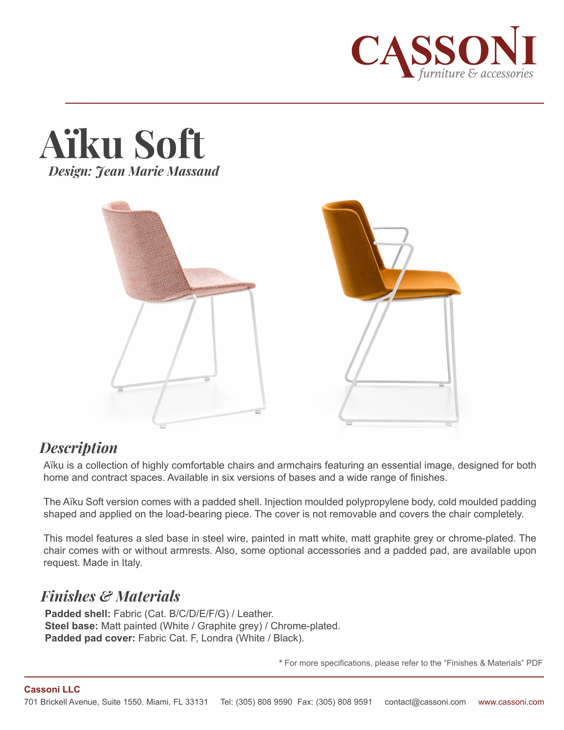





## *Description*

Aïku is a collection of highly comfortable chairs and armchairs featuring an essential image, designed for both home and contract spaces. Available in six versions of bases and a wide range of finishes.

The Aïku Soft version comes with a padded shell. Injection moulded polypropylene body, cold moulded padding shaped and applied on the load-bearing piece. The cover is not removable and covers the chair completely.

This model features a sled base in steel wire, painted in matt white, matt graphite grey or chrome-plated. The chair comes with or without armrests. Also, some optional accessories and a padded pad, are available upon request. Made in Italy.

# *Finishes & Materials*

**Padded shell:** Fabric (Cat. B/C/D/E/F/G) / Leather. **Steel base:** Matt painted (White / Graphite grey) / Chrome-plated. Padded pad cover: Fabric Cat. F, Londra (White / Black).

**\*** For more specifications, please refer to the "Finishes & Materials" PDF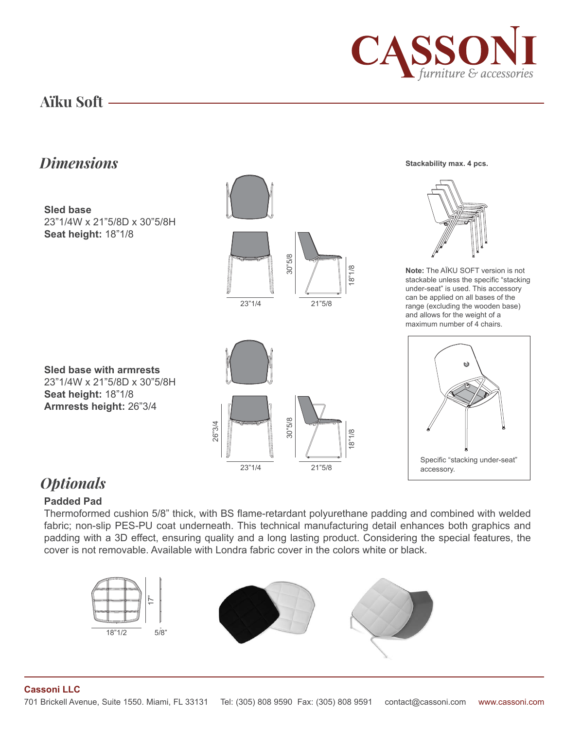

**Stackability max. 4 pcs.**

## **Aïku Soft**

# *Dimensions*



## *Optionals*

#### **Padded Pad**

Thermoformed cushion 5/8" thick, with BS flame-retardant polyurethane padding and combined with welded fabric; non-slip PES-PU coat underneath. This technical manufacturing detail enhances both graphics and padding with a 3D effect, ensuring quality and a long lasting product. Considering the special features, the cover is not removable. Available with Londra fabric cover in the colors white or black.



**Cassoni LLC**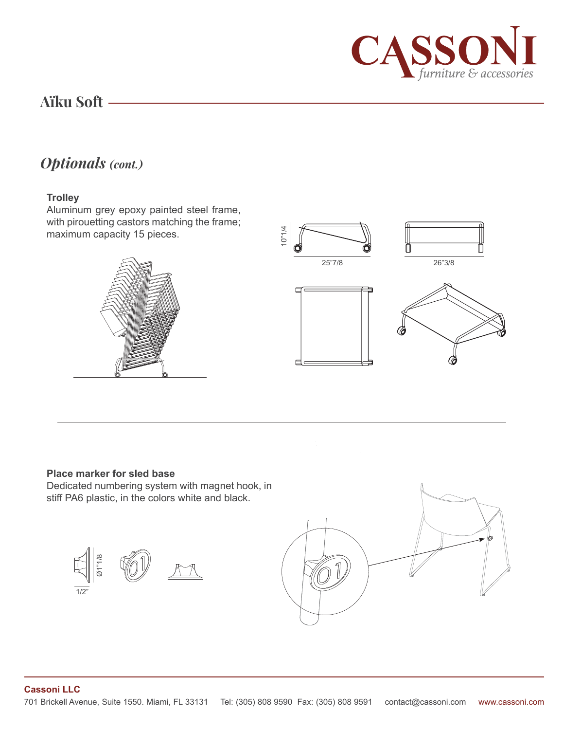

## **Aïku Soft**

# *Optionals (cont.)*

#### **Trolley**

Aluminum grey epoxy painted steel frame, with pirouetting castors matching the frame; maximum capacity 15 pieces.





#### **Place marker for sled base**

Dedicated numbering system with magnet hook, in stiff PA6 plastic, in the colors white and black.





#### **Cassoni LLC**